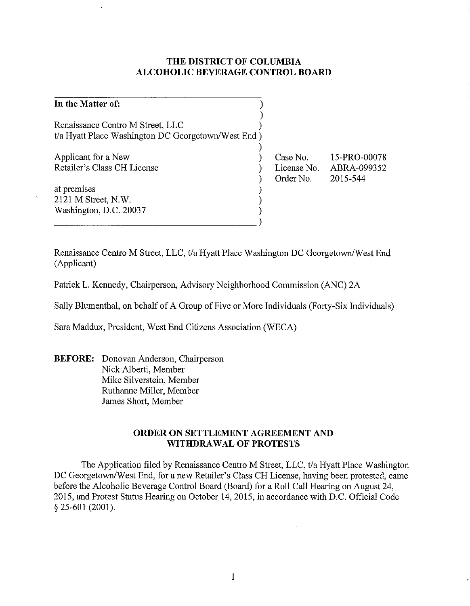# **THE DISTRICT OF COLUMBIA ALCOHOLIC BEVERAGE CONTROL BOARD**

)

) ) ) ) ) ) )

## **In the Matter of:** )

Renaissance Centro M Street, LLC ) t/a Hyatt Place Washington DC Georgetown/West End)

Applicant for a New Retailer's Class CH License

at premises 2121 M Street, N.W. Washington, D.C. 20037  $\overbrace{\phantom{xx}^{\phantom{xx}^{\phantom{xx}}_{\phantom{xx}}}^{\phantom{\ast}}}\,$ 

Case No. Order No.

License No. ABRA-099352 15-PRO-00078 2015-544

Renaissance Centro M Street, LLC, t/a Hyatt Place Washington DC Georgetown/West End (Applicant)

Patrick L. Kennedy, Chairperson, Advisory Neighborhood Commission (ANC) 2A

Sally Blumenthal, on behalf of A Group of Five or More Individuals (Forty-Six Individuals)

Sara Maddux, President, West End Citizens Association (WECA)

**BEFORE:** Donovan Anderson, Chairperson Nick Alberti, Member Mike Silverstein, Member Ruthanne Miller, Member James Short, Member

# **ORDER ON SETTLEMENT AGREEMENT AND WITHDRAWAL OF PROTESTS**

The Application filed by Renaissance Centro M Street, LLC, t/a Hyatt Place Washington DC Georgetown/West End, for a new Retailer's Class CH License, having been protested, came before the Alcoholic Beverage Control Board (Board) for a Roll Call Hearing on August 24, 2015, and Protest Status Hearing on October 14, 2015, in accordance with D.C. Official Code § 25-601 (2001).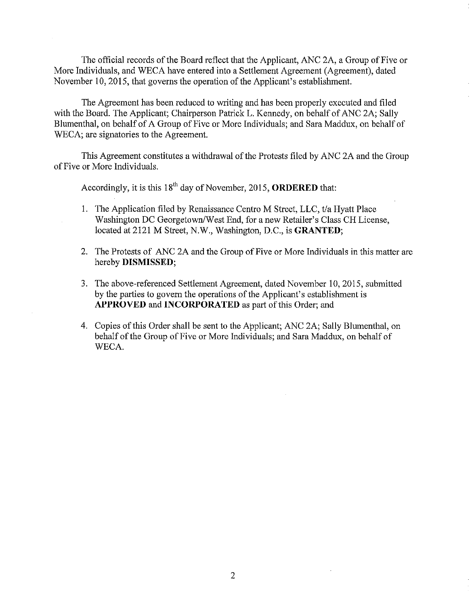The official records of the Board reflect that the Applicant, ANC 2A, a Group of Five or More Individuals, and WECA have entered into a Settlement Agreement (Agreement), dated November 10,2015, that governs the operation of the Applicant's establishment.

The Agreement has been reduced to writing and has been properly executed and filed with the Board. The Applicant; Chairperson Patrick L. Kennedy, on behalf of ANC 2A; Sally Blumenthal, on behalf of A Group of Five or More Individuals; and Sara Maddux, on behalf of WECA; are signatories to the Agreement.

This Agreement constitutes a withdrawal of the Protests filed by ANC 2A and the Group of Five or More Individuals.

Accordingly, it is this 18th day of November, 2015, **ORDERED** that:

- I. The Application filed by Renaissance Centro M Street, LLC, *t/a* Hyatt Place Washington DC Georgetown/West End, for a new Retailer's Class CH License, located at 2121 M Street, N.W., Washington, D.C., is **GRANTED;**
- 2. The Protests of ANC 2A and the Group of Five or More Individuals in this matter are hereby **DISMISSED;**
- 3. The above-referenced Settlement Agreement, dated November 10, 2015, submitted by the parties to govern the operations of the Applicant's establishment is APPROVED and **INCORPORATED** as part of this Order; and
- 4. Copies of this Order shall be sent to the Applicant; ANC 2A; Sally Blumenthal, on behalf of the Group of Five or More Individuals; and Sara Maddux, on behalf of WECA.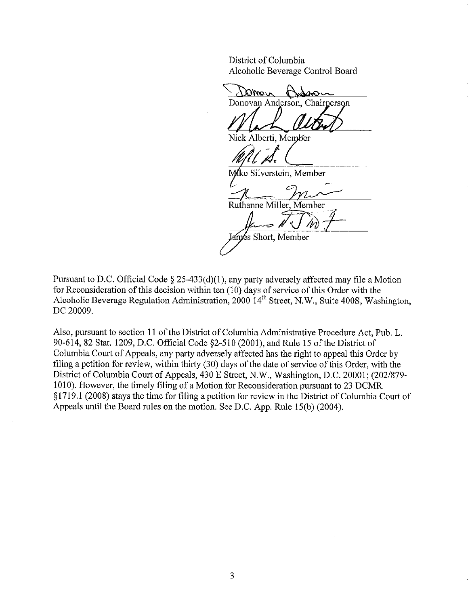District of Columbia Alcoholic Beverage Control Board

vsMQ 949-1 Donovan Anderson, Chairperson

Nick Alberti, Member

~;1

ke Silverstein, Member

Ruthanne Miller, Member

 $=$   $\sqrt{(\ln 7 -$ 

lames Short, Member

Pursuant to D.C. Official Code  $\S$  25-433(d)(1), any party adversely affected may file a Motion for Reconsideration of this decision within ten (10) days of service of this Order with the Alcoholic Beverage Regulation Administration, 2000 14<sup>th</sup> Street, N.W., Suite 400S, Washington, DC 20009.

Also, pursuant to section 11 of the District of Columbia Administrative Procedure Act, Pub. L. 90-614,82 Stat. 1209, D.C. Official Code §2-51O (2001), and Rule 15 of the District of Columbia Court of Appeals, any party adversely affected has the right to appeal this Order by filing a petition for review, within thirty (30) days of the date of service of this Order, with the District of Columbia Court of Appeals, 430 E Street, N.W., Washington, D.C. 20001; (202/879- 1010). However, the timely filing of a Motion for Reconsideration pursuant to 23 DCMR § 1719.1 (2008) stays the time for filing a petition for review in the District of Columbia Court of Appeals until the Board rules on the motion. See D.C. App. Rule 15(b) (2004).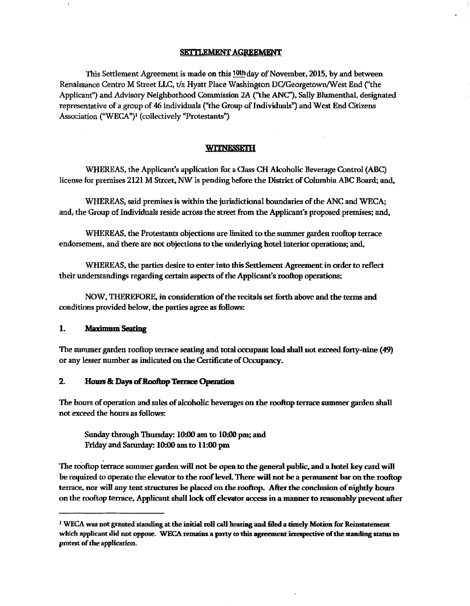### SETTLEMENT AGREEMENT

This Settlement Agreement is made on this 10lhday of November, 2015, by and between Renaissance Centro M Street LLC, *tla* Hyatt Place Washington DClGeorgetownlWest End ("the Applicant") and Advisory Neighborhood Commission 2A ("the ANC'), Sally Blumenthal, designated representative of a group of 46 individuals ("the Group of Individuals") and West End Citizens Association ("WECA")<sup>1</sup> (collectively "Protestants")

### **WITNESSETH**

WHEREAS, the Applicant's application for a Class CH Alcoholic Beverage Control (ABC) license for premises 2121 M Street, NW is pending before the District of Columbia ABC Board; and,

WHEREAS, said premises is within the jurisdictional boundaries of the ANC and WECA; and, the Group of Individuals reside across the street from the Applicant's proposed premises; and,

WHEREAS, the Protestants objections are limited to the summer garden rooftop terrace endorsement, and there are not objections to the underlying hotel interior operations; and,

WHEREAS, the parties desire to enter into this Settlement Agreement in order to reflect their understandings regarding certain aspects of the Applicant's rooftop operations;

NOW, THEREFORE, in consideration of the recitals set forth above and the terms and conditions provided below, the parties agree as follows:

### 1. Maximum Seating

The summer garden rooftop terrace seating and total occupant load shall not exceed forty-nine (49) or any lesser number as indicated on the Certificate of Occupancy.

### 2. Hours & Days of Rooftop Terrace Operation

The hours of operation and sales of alcoholic beverages on the rooftop terrace summer garden shall not exceed the hours as follows:

Sunday through Thursday: 10:00 am to 10:00 pm; and Friday and Saturday: 10:00 am to 11:00 pm

The rooftop terrace summer garden will not be open to the general public. and a hotel key card will be required to operate the elevator to the roof level. There will not be a permanent bar on the rooftop terrace. nor will any tent structures be placed on the rooftop. After the conclusion of nightly hours on the rooftop terrace. Applicant shall lock off elevator access in a manner to reasonably prevent after

<sup>&</sup>lt;sup>1</sup> WECA was not granted standing at the initial roll call hearing and filed a timely Motion for Reinstatement which applicant did not oppose. WECA remains a party to this agreement irrespective of the standing status to protest of the application.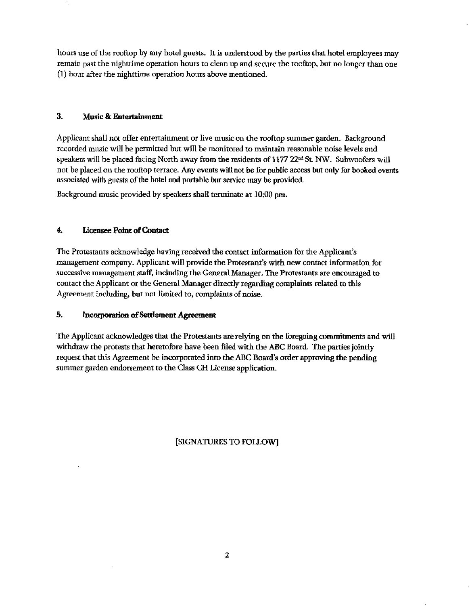hours use of the rooftop by any hotel guests. It is understood by the parties that hotel employees may remain past the nighttime operation hours to clean up and secure the rooftop, but no longer than one (1) hour after the nighttime operation hours above mentioned.

# 3. Music & Entertainment

Applicant shall not offer entertainment or live music on the rooftop summer garden. Background recorded music will be permitted but will be monitored to maintain reasonable noise levels and speakers will be placed facing North away from the residents of  $1177$   $22<sup>nd</sup>$  St. NW. Subwoofers will not be placed on the rooftop terrace. Any events will not be for public access but only for booked events associated with guests of the hotel and portable bar service may be provided.

Background music provided by speakers shall tenninate at 10:00 pm.

# 4. Licensee Point of Contact

The Protestants acknowledge having received the contact information for the Applicant's management company. Applicant will provide the Protestant's with new contact information for successive management staff, including the General Manager. The Protestants are encouraged to contact the Applicant or the General Manager directly regarding complaints related to this Agreement including, but not limited to, complaints of noise.

## 5. Incorporation of Settlement Agreement

The Applicant acknowledges that the Protestants are relying on the foregoing commitments and will withdraw the protests that heretofore have been filed with the ABC Board. The parties joindy request that this Agreement be incorporated into the ABC Board's order approving the pending summer garden endorsement to the Oass CH license application.

[SIGNATURES TO FOLLOW]